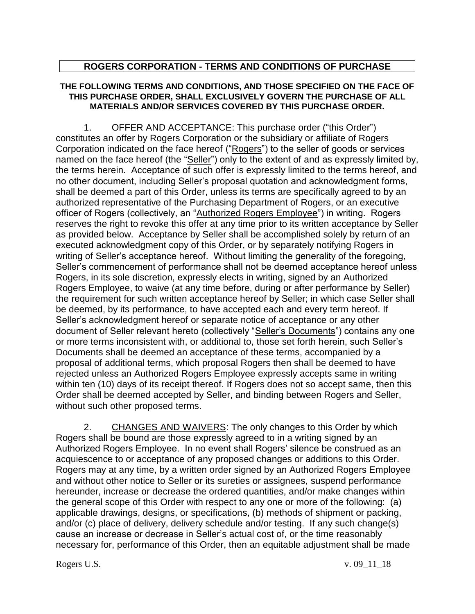## **ROGERS CORPORATION - TERMS AND CONDITIONS OF PURCHASE**

## **THE FOLLOWING TERMS AND CONDITIONS, AND THOSE SPECIFIED ON THE FACE OF THIS PURCHASE ORDER, SHALL EXCLUSIVELY GOVERN THE PURCHASE OF ALL MATERIALS AND/OR SERVICES COVERED BY THIS PURCHASE ORDER.**

1. OFFER AND ACCEPTANCE: This purchase order ("this Order") constitutes an offer by Rogers Corporation or the subsidiary or affiliate of Rogers Corporation indicated on the face hereof ("Rogers") to the seller of goods or services named on the face hereof (the "Seller") only to the extent of and as expressly limited by, the terms herein. Acceptance of such offer is expressly limited to the terms hereof, and no other document, including Seller's proposal quotation and acknowledgment forms, shall be deemed a part of this Order, unless its terms are specifically agreed to by an authorized representative of the Purchasing Department of Rogers, or an executive officer of Rogers (collectively, an "Authorized Rogers Employee") in writing. Rogers reserves the right to revoke this offer at any time prior to its written acceptance by Seller as provided below. Acceptance by Seller shall be accomplished solely by return of an executed acknowledgment copy of this Order, or by separately notifying Rogers in writing of Seller's acceptance hereof. Without limiting the generality of the foregoing, Seller's commencement of performance shall not be deemed acceptance hereof unless Rogers, in its sole discretion, expressly elects in writing, signed by an Authorized Rogers Employee, to waive (at any time before, during or after performance by Seller) the requirement for such written acceptance hereof by Seller; in which case Seller shall be deemed, by its performance, to have accepted each and every term hereof. If Seller's acknowledgment hereof or separate notice of acceptance or any other document of Seller relevant hereto (collectively "Seller's Documents") contains any one or more terms inconsistent with, or additional to, those set forth herein, such Seller's Documents shall be deemed an acceptance of these terms, accompanied by a proposal of additional terms, which proposal Rogers then shall be deemed to have rejected unless an Authorized Rogers Employee expressly accepts same in writing within ten (10) days of its receipt thereof. If Rogers does not so accept same, then this Order shall be deemed accepted by Seller, and binding between Rogers and Seller, without such other proposed terms.

2. CHANGES AND WAIVERS: The only changes to this Order by which Rogers shall be bound are those expressly agreed to in a writing signed by an Authorized Rogers Employee. In no event shall Rogers' silence be construed as an acquiescence to or acceptance of any proposed changes or additions to this Order. Rogers may at any time, by a written order signed by an Authorized Rogers Employee and without other notice to Seller or its sureties or assignees, suspend performance hereunder, increase or decrease the ordered quantities, and/or make changes within the general scope of this Order with respect to any one or more of the following: (a) applicable drawings, designs, or specifications, (b) methods of shipment or packing, and/or (c) place of delivery, delivery schedule and/or testing. If any such change(s) cause an increase or decrease in Seller's actual cost of, or the time reasonably necessary for, performance of this Order, then an equitable adjustment shall be made

Rogers U.S. v. 09\_11\_18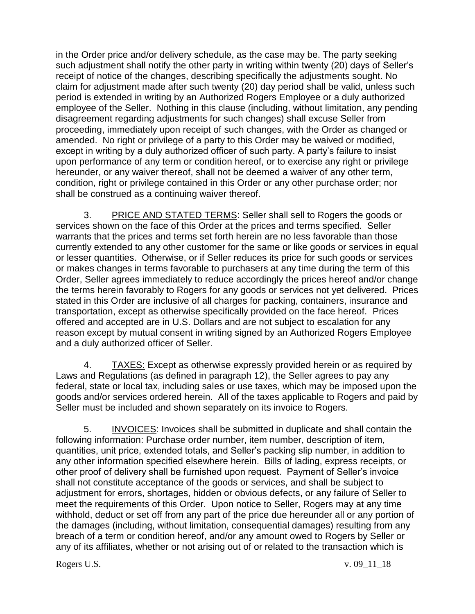in the Order price and/or delivery schedule, as the case may be. The party seeking such adjustment shall notify the other party in writing within twenty (20) days of Seller's receipt of notice of the changes, describing specifically the adjustments sought. No claim for adjustment made after such twenty (20) day period shall be valid, unless such period is extended in writing by an Authorized Rogers Employee or a duly authorized employee of the Seller. Nothing in this clause (including, without limitation, any pending disagreement regarding adjustments for such changes) shall excuse Seller from proceeding, immediately upon receipt of such changes, with the Order as changed or amended. No right or privilege of a party to this Order may be waived or modified, except in writing by a duly authorized officer of such party. A party's failure to insist upon performance of any term or condition hereof, or to exercise any right or privilege hereunder, or any waiver thereof, shall not be deemed a waiver of any other term, condition, right or privilege contained in this Order or any other purchase order; nor shall be construed as a continuing waiver thereof.

3. PRICE AND STATED TERMS: Seller shall sell to Rogers the goods or services shown on the face of this Order at the prices and terms specified. Seller warrants that the prices and terms set forth herein are no less favorable than those currently extended to any other customer for the same or like goods or services in equal or lesser quantities. Otherwise, or if Seller reduces its price for such goods or services or makes changes in terms favorable to purchasers at any time during the term of this Order, Seller agrees immediately to reduce accordingly the prices hereof and/or change the terms herein favorably to Rogers for any goods or services not yet delivered. Prices stated in this Order are inclusive of all charges for packing, containers, insurance and transportation, except as otherwise specifically provided on the face hereof. Prices offered and accepted are in U.S. Dollars and are not subject to escalation for any reason except by mutual consent in writing signed by an Authorized Rogers Employee and a duly authorized officer of Seller.

4. TAXES: Except as otherwise expressly provided herein or as required by Laws and Regulations (as defined in paragraph 12), the Seller agrees to pay any federal, state or local tax, including sales or use taxes, which may be imposed upon the goods and/or services ordered herein. All of the taxes applicable to Rogers and paid by Seller must be included and shown separately on its invoice to Rogers.

5. INVOICES: Invoices shall be submitted in duplicate and shall contain the following information: Purchase order number, item number, description of item, quantities, unit price, extended totals, and Seller's packing slip number, in addition to any other information specified elsewhere herein. Bills of lading, express receipts, or other proof of delivery shall be furnished upon request. Payment of Seller's invoice shall not constitute acceptance of the goods or services, and shall be subject to adjustment for errors, shortages, hidden or obvious defects, or any failure of Seller to meet the requirements of this Order. Upon notice to Seller, Rogers may at any time withhold, deduct or set off from any part of the price due hereunder all or any portion of the damages (including, without limitation, consequential damages) resulting from any breach of a term or condition hereof, and/or any amount owed to Rogers by Seller or any of its affiliates, whether or not arising out of or related to the transaction which is

Rogers U.S. v. 09\_11\_18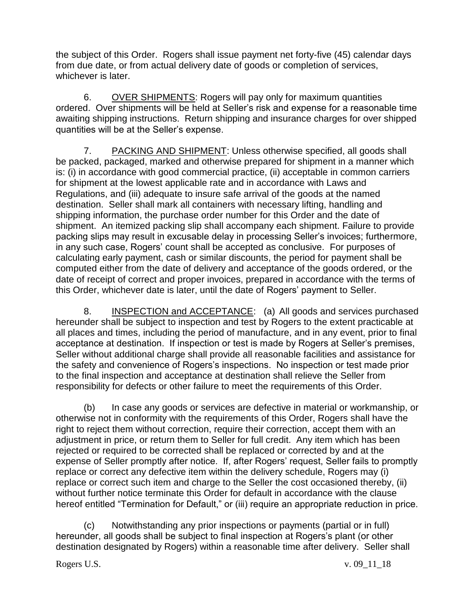the subject of this Order. Rogers shall issue payment net forty-five (45) calendar days from due date, or from actual delivery date of goods or completion of services, whichever is later.

6. OVER SHIPMENTS: Rogers will pay only for maximum quantities ordered. Over shipments will be held at Seller's risk and expense for a reasonable time awaiting shipping instructions. Return shipping and insurance charges for over shipped quantities will be at the Seller's expense.

7. PACKING AND SHIPMENT: Unless otherwise specified, all goods shall be packed, packaged, marked and otherwise prepared for shipment in a manner which is: (i) in accordance with good commercial practice, (ii) acceptable in common carriers for shipment at the lowest applicable rate and in accordance with Laws and Regulations, and (iii) adequate to insure safe arrival of the goods at the named destination. Seller shall mark all containers with necessary lifting, handling and shipping information, the purchase order number for this Order and the date of shipment. An itemized packing slip shall accompany each shipment. Failure to provide packing slips may result in excusable delay in processing Seller's invoices; furthermore, in any such case, Rogers' count shall be accepted as conclusive. For purposes of calculating early payment, cash or similar discounts, the period for payment shall be computed either from the date of delivery and acceptance of the goods ordered, or the date of receipt of correct and proper invoices, prepared in accordance with the terms of this Order, whichever date is later, until the date of Rogers' payment to Seller.

8. INSPECTION and ACCEPTANCE: (a) All goods and services purchased hereunder shall be subject to inspection and test by Rogers to the extent practicable at all places and times, including the period of manufacture, and in any event, prior to final acceptance at destination. If inspection or test is made by Rogers at Seller's premises, Seller without additional charge shall provide all reasonable facilities and assistance for the safety and convenience of Rogers's inspections. No inspection or test made prior to the final inspection and acceptance at destination shall relieve the Seller from responsibility for defects or other failure to meet the requirements of this Order.

(b) In case any goods or services are defective in material or workmanship, or otherwise not in conformity with the requirements of this Order, Rogers shall have the right to reject them without correction, require their correction, accept them with an adjustment in price, or return them to Seller for full credit. Any item which has been rejected or required to be corrected shall be replaced or corrected by and at the expense of Seller promptly after notice. If, after Rogers' request, Seller fails to promptly replace or correct any defective item within the delivery schedule, Rogers may (i) replace or correct such item and charge to the Seller the cost occasioned thereby, (ii) without further notice terminate this Order for default in accordance with the clause hereof entitled "Termination for Default," or (iii) require an appropriate reduction in price.

(c) Notwithstanding any prior inspections or payments (partial or in full) hereunder, all goods shall be subject to final inspection at Rogers's plant (or other destination designated by Rogers) within a reasonable time after delivery. Seller shall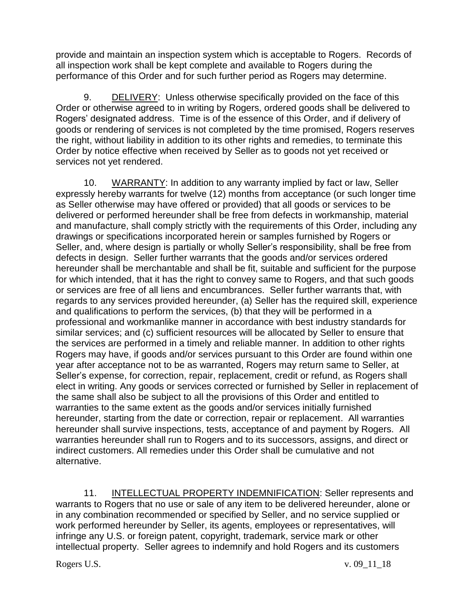provide and maintain an inspection system which is acceptable to Rogers. Records of all inspection work shall be kept complete and available to Rogers during the performance of this Order and for such further period as Rogers may determine.

9. DELIVERY: Unless otherwise specifically provided on the face of this Order or otherwise agreed to in writing by Rogers, ordered goods shall be delivered to Rogers' designated address. Time is of the essence of this Order, and if delivery of goods or rendering of services is not completed by the time promised, Rogers reserves the right, without liability in addition to its other rights and remedies, to terminate this Order by notice effective when received by Seller as to goods not yet received or services not yet rendered.

10. WARRANTY: In addition to any warranty implied by fact or law, Seller expressly hereby warrants for twelve (12) months from acceptance (or such longer time as Seller otherwise may have offered or provided) that all goods or services to be delivered or performed hereunder shall be free from defects in workmanship, material and manufacture, shall comply strictly with the requirements of this Order, including any drawings or specifications incorporated herein or samples furnished by Rogers or Seller, and, where design is partially or wholly Seller's responsibility, shall be free from defects in design. Seller further warrants that the goods and/or services ordered hereunder shall be merchantable and shall be fit, suitable and sufficient for the purpose for which intended, that it has the right to convey same to Rogers, and that such goods or services are free of all liens and encumbrances. Seller further warrants that, with regards to any services provided hereunder, (a) Seller has the required skill, experience and qualifications to perform the services, (b) that they will be performed in a professional and workmanlike manner in accordance with best industry standards for similar services; and (c) sufficient resources will be allocated by Seller to ensure that the services are performed in a timely and reliable manner. In addition to other rights Rogers may have, if goods and/or services pursuant to this Order are found within one year after acceptance not to be as warranted, Rogers may return same to Seller, at Seller's expense, for correction, repair, replacement, credit or refund, as Rogers shall elect in writing. Any goods or services corrected or furnished by Seller in replacement of the same shall also be subject to all the provisions of this Order and entitled to warranties to the same extent as the goods and/or services initially furnished hereunder, starting from the date or correction, repair or replacement. All warranties hereunder shall survive inspections, tests, acceptance of and payment by Rogers. All warranties hereunder shall run to Rogers and to its successors, assigns, and direct or indirect customers. All remedies under this Order shall be cumulative and not alternative.

11. **INTELLECTUAL PROPERTY INDEMNIFICATION:** Seller represents and warrants to Rogers that no use or sale of any item to be delivered hereunder, alone or in any combination recommended or specified by Seller, and no service supplied or work performed hereunder by Seller, its agents, employees or representatives, will infringe any U.S. or foreign patent, copyright, trademark, service mark or other intellectual property. Seller agrees to indemnify and hold Rogers and its customers

Rogers U.S. v. 09\_11\_18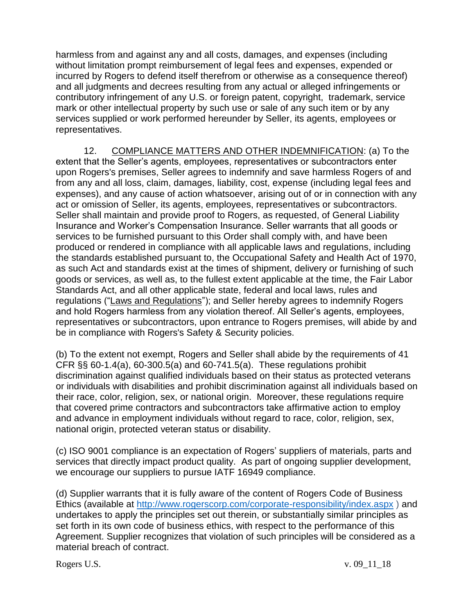harmless from and against any and all costs, damages, and expenses (including without limitation prompt reimbursement of legal fees and expenses, expended or incurred by Rogers to defend itself therefrom or otherwise as a consequence thereof) and all judgments and decrees resulting from any actual or alleged infringements or contributory infringement of any U.S. or foreign patent, copyright, trademark, service mark or other intellectual property by such use or sale of any such item or by any services supplied or work performed hereunder by Seller, its agents, employees or representatives.

12. COMPLIANCE MATTERS AND OTHER INDEMNIFICATION: (a) To the extent that the Seller's agents, employees, representatives or subcontractors enter upon Rogers's premises, Seller agrees to indemnify and save harmless Rogers of and from any and all loss, claim, damages, liability, cost, expense (including legal fees and expenses), and any cause of action whatsoever, arising out of or in connection with any act or omission of Seller, its agents, employees, representatives or subcontractors. Seller shall maintain and provide proof to Rogers, as requested, of General Liability Insurance and Worker's Compensation Insurance. Seller warrants that all goods or services to be furnished pursuant to this Order shall comply with, and have been produced or rendered in compliance with all applicable laws and regulations, including the standards established pursuant to, the Occupational Safety and Health Act of 1970, as such Act and standards exist at the times of shipment, delivery or furnishing of such goods or services, as well as, to the fullest extent applicable at the time, the Fair Labor Standards Act, and all other applicable state, federal and local laws, rules and regulations ("Laws and Regulations"); and Seller hereby agrees to indemnify Rogers and hold Rogers harmless from any violation thereof. All Seller's agents, employees, representatives or subcontractors, upon entrance to Rogers premises, will abide by and be in compliance with Rogers's Safety & Security policies.

(b) To the extent not exempt, Rogers and Seller shall abide by the requirements of 41 CFR §§ 60-1.4(a), 60-300.5(a) and 60-741.5(a). These regulations prohibit discrimination against qualified individuals based on their status as protected veterans or individuals with disabilities and prohibit discrimination against all individuals based on their race, color, religion, sex, or national origin. Moreover, these regulations require that covered prime contractors and subcontractors take affirmative action to employ and advance in employment individuals without regard to race, color, religion, sex, national origin, protected veteran status or disability.

(c) ISO 9001 compliance is an expectation of Rogers' suppliers of materials, parts and services that directly impact product quality. As part of ongoing supplier development, we encourage our suppliers to pursue IATF 16949 compliance.

(d) Supplier warrants that it is fully aware of the content of Rogers Code of Business Ethics (available at <http://www.rogerscorp.com/corporate-responsibility/index.aspx> ) and undertakes to apply the principles set out therein, or substantially similar principles as set forth in its own code of business ethics, with respect to the performance of this Agreement. Supplier recognizes that violation of such principles will be considered as a material breach of contract.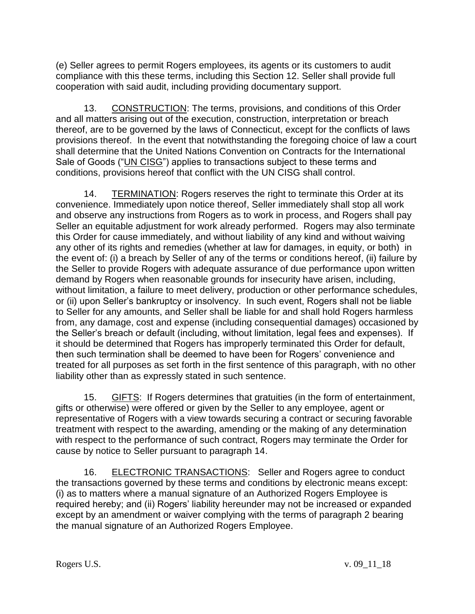(e) Seller agrees to permit Rogers employees, its agents or its customers to audit compliance with this these terms, including this Section 12. Seller shall provide full cooperation with said audit, including providing documentary support.

13. CONSTRUCTION: The terms, provisions, and conditions of this Order and all matters arising out of the execution, construction, interpretation or breach thereof, are to be governed by the laws of Connecticut, except for the conflicts of laws provisions thereof. In the event that notwithstanding the foregoing choice of law a court shall determine that the United Nations Convention on Contracts for the International Sale of Goods ("UN CISG") applies to transactions subject to these terms and conditions, provisions hereof that conflict with the UN CISG shall control.

14. TERMINATION: Rogers reserves the right to terminate this Order at its convenience. Immediately upon notice thereof, Seller immediately shall stop all work and observe any instructions from Rogers as to work in process, and Rogers shall pay Seller an equitable adjustment for work already performed. Rogers may also terminate this Order for cause immediately, and without liability of any kind and without waiving any other of its rights and remedies (whether at law for damages, in equity, or both) in the event of: (i) a breach by Seller of any of the terms or conditions hereof, (ii) failure by the Seller to provide Rogers with adequate assurance of due performance upon written demand by Rogers when reasonable grounds for insecurity have arisen, including, without limitation, a failure to meet delivery, production or other performance schedules, or (ii) upon Seller's bankruptcy or insolvency. In such event, Rogers shall not be liable to Seller for any amounts, and Seller shall be liable for and shall hold Rogers harmless from, any damage, cost and expense (including consequential damages) occasioned by the Seller's breach or default (including, without limitation, legal fees and expenses). If it should be determined that Rogers has improperly terminated this Order for default, then such termination shall be deemed to have been for Rogers' convenience and treated for all purposes as set forth in the first sentence of this paragraph, with no other liability other than as expressly stated in such sentence.

15. GIFTS: If Rogers determines that gratuities (in the form of entertainment, gifts or otherwise) were offered or given by the Seller to any employee, agent or representative of Rogers with a view towards securing a contract or securing favorable treatment with respect to the awarding, amending or the making of any determination with respect to the performance of such contract, Rogers may terminate the Order for cause by notice to Seller pursuant to paragraph 14.

16. ELECTRONIC TRANSACTIONS:Seller and Rogers agree to conduct the transactions governed by these terms and conditions by electronic means except: (i) as to matters where a manual signature of an Authorized Rogers Employee is required hereby; and (ii) Rogers' liability hereunder may not be increased or expanded except by an amendment or waiver complying with the terms of paragraph 2 bearing the manual signature of an Authorized Rogers Employee.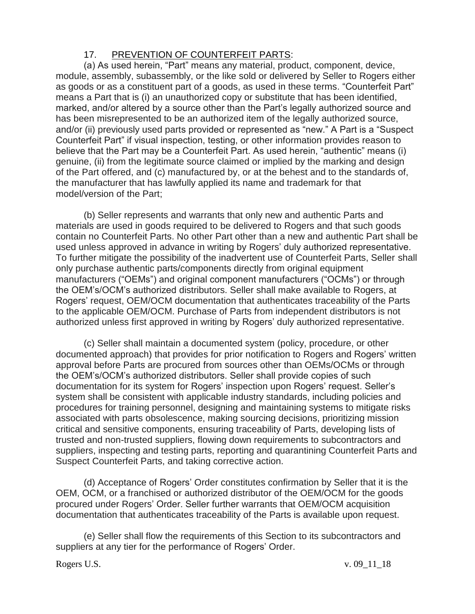## 17. PREVENTION OF COUNTERFEIT PARTS:

(a) As used herein, "Part" means any material, product, component, device, module, assembly, subassembly, or the like sold or delivered by Seller to Rogers either as goods or as a constituent part of a goods, as used in these terms. "Counterfeit Part" means a Part that is (i) an unauthorized copy or substitute that has been identified, marked, and/or altered by a source other than the Part's legally authorized source and has been misrepresented to be an authorized item of the legally authorized source, and/or (ii) previously used parts provided or represented as "new." A Part is a "Suspect Counterfeit Part" if visual inspection, testing, or other information provides reason to believe that the Part may be a Counterfeit Part. As used herein, "authentic" means (i) genuine, (ii) from the legitimate source claimed or implied by the marking and design of the Part offered, and (c) manufactured by, or at the behest and to the standards of, the manufacturer that has lawfully applied its name and trademark for that model/version of the Part;

(b) Seller represents and warrants that only new and authentic Parts and materials are used in goods required to be delivered to Rogers and that such goods contain no Counterfeit Parts. No other Part other than a new and authentic Part shall be used unless approved in advance in writing by Rogers' duly authorized representative. To further mitigate the possibility of the inadvertent use of Counterfeit Parts, Seller shall only purchase authentic parts/components directly from original equipment manufacturers ("OEMs") and original component manufacturers ("OCMs") or through the OEM's/OCM's authorized distributors. Seller shall make available to Rogers, at Rogers' request, OEM/OCM documentation that authenticates traceability of the Parts to the applicable OEM/OCM. Purchase of Parts from independent distributors is not authorized unless first approved in writing by Rogers' duly authorized representative.

(c) Seller shall maintain a documented system (policy, procedure, or other documented approach) that provides for prior notification to Rogers and Rogers' written approval before Parts are procured from sources other than OEMs/OCMs or through the OEM's/OCM's authorized distributors. Seller shall provide copies of such documentation for its system for Rogers' inspection upon Rogers' request. Seller's system shall be consistent with applicable industry standards, including policies and procedures for training personnel, designing and maintaining systems to mitigate risks associated with parts obsolescence, making sourcing decisions, prioritizing mission critical and sensitive components, ensuring traceability of Parts, developing lists of trusted and non-trusted suppliers, flowing down requirements to subcontractors and suppliers, inspecting and testing parts, reporting and quarantining Counterfeit Parts and Suspect Counterfeit Parts, and taking corrective action.

(d) Acceptance of Rogers' Order constitutes confirmation by Seller that it is the OEM, OCM, or a franchised or authorized distributor of the OEM/OCM for the goods procured under Rogers' Order. Seller further warrants that OEM/OCM acquisition documentation that authenticates traceability of the Parts is available upon request.

(e) Seller shall flow the requirements of this Section to its subcontractors and suppliers at any tier for the performance of Rogers' Order.